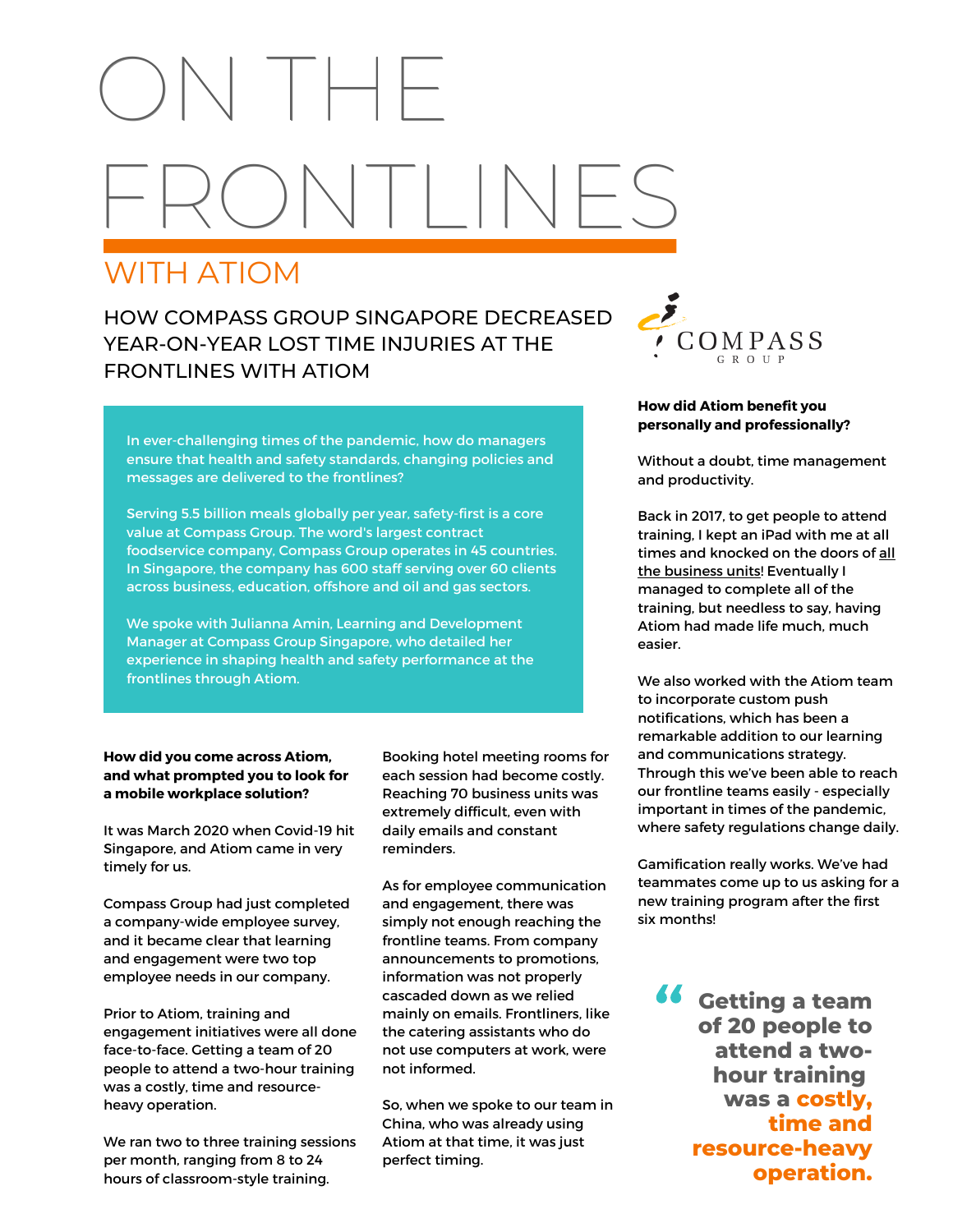# ON THE  $\setminus$   $\vert \; \vert \; \vert \; \vert \; \setminus$

## WITH ATIOM

### HOW COMPASS GROUP SINGAPORE DECREASED YEAR-ON-YEAR LOST TIME INJURIES AT THE FRONTLINES WITH ATIOM



#### In ever-challenging times of the pandemic, how do managers ensure that health and safety standards, changing policies and messages are delivered to the frontlines?

Serving 5.5 billion meals globally per year, safety-first is a core value at Compass Group. The word's largest contract foodservice company, Compass Group operates in 45 countries. In Singapore, the company has 600 staff serving over 60 clients across business, education, offshore and oil and gas sectors.

We spoke with Julianna Amin, Learning and Development Manager at Compass Group Singapore, who detailed her experience in shaping health and safety performance at the frontlines through Atiom.

#### **How did you come across Atiom, and what prompted you to look for a mobile workplace solution?**

It was March 2020 when Covid-19 hit Singapore, and Atiom came in very timely for us.

Compass Group had just completed a company-wide employee survey, and it became clear that learning and engagement were two top employee needs in our company.

Prior to Atiom, training and engagement initiatives were all done face-to-face. Getting a team of 20 people to attend a two-hour training was a costly, time and resourceheavy operation.

We ran two to three training sessions per month, ranging from 8 to 24 hours of classroom-style training.

Booking hotel meeting rooms for each session had become costly. Reaching 70 business units was extremely difficult, even with daily emails and constant reminders.

As for employee communication and engagement, there was simply not enough reaching the frontline teams. From company announcements to promotions, information was not properly cascaded down as we relied mainly on emails. Frontliners, like the catering assistants who do not use computers at work, were not informed.

So, when we spoke to our team in China, who was already using Atiom at that time, it was just perfect timing.

#### **How did Atiom benefit you personally and professionally?**

Without a doubt, time management and productivity.

Back in 2017, to get people to attend training, I kept an iPad with me at all times and knocked on the doors of all the business units! Eventually I managed to complete all of the training, but needless to say, having Atiom had made life much, much easier.

We also worked with the Atiom team to incorporate custom push notifications, which has been a remarkable addition to our learning and communications strategy. Through this we've been able to reach our frontline teams easily - especially important in times of the pandemic, where safety regulations change daily.

Gamification really works. We've had teammates come up to us asking for a new training program after the first six months!

**Getting a team of 20 people to attend a twohour training was a costly, time and resource-heavy operation.** "